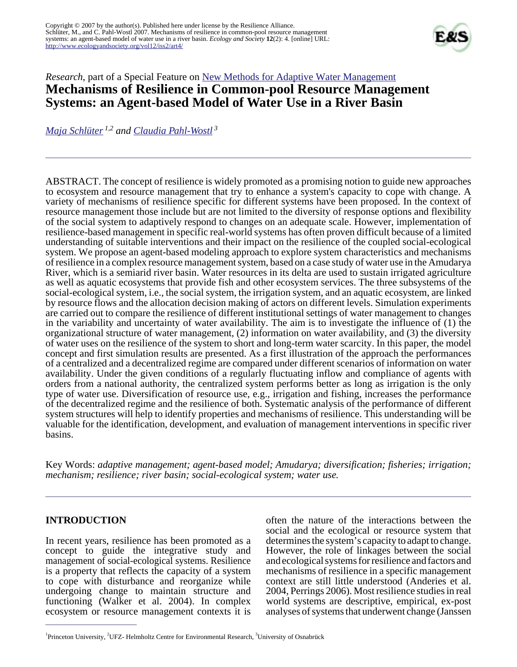

# *Research*, part of a Special Feature on [New Methods for Adaptive Water Management](http://www.ecologyandsociety.org/viewissue.php?sf=31) **Mechanisms of Resilience in Common-pool Resource Management Systems: an Agent-based Model of Water Use in a River Basin**

*[Maja Schlüter](mailto:mschlute@princeton.edu) 1,2 and [Claudia Pahl-Wostl](mailto:pahl@usf.uni-osnabrueck.de)<sup>3</sup>*

ABSTRACT. The concept of resilience is widely promoted as a promising notion to guide new approaches to ecosystem and resource management that try to enhance a system's capacity to cope with change. A variety of mechanisms of resilience specific for different systems have been proposed. In the context of resource management those include but are not limited to the diversity of response options and flexibility of the social system to adaptively respond to changes on an adequate scale. However, implementation of resilience-based management in specific real-world systems has often proven difficult because of a limited understanding of suitable interventions and their impact on the resilience of the coupled social-ecological system. We propose an agent-based modeling approach to explore system characteristics and mechanisms of resilience in a complex resource management system, based on a case study of water use in the Amudarya River, which is a semiarid river basin. Water resources in its delta are used to sustain irrigated agriculture as well as aquatic ecosystems that provide fish and other ecosystem services. The three subsystems of the social-ecological system, i.e., the social system, the irrigation system, and an aquatic ecosystem, are linked by resource flows and the allocation decision making of actors on different levels. Simulation experiments are carried out to compare the resilience of different institutional settings of water management to changes in the variability and uncertainty of water availability. The aim is to investigate the influence of (1) the organizational structure of water management, (2) information on water availability, and (3) the diversity of water uses on the resilience of the system to short and long-term water scarcity. In this paper, the model concept and first simulation results are presented. As a first illustration of the approach the performances of a centralized and a decentralized regime are compared under different scenarios of information on water availability. Under the given conditions of a regularly fluctuating inflow and compliance of agents with orders from a national authority, the centralized system performs better as long as irrigation is the only type of water use. Diversification of resource use, e.g., irrigation and fishing, increases the performance of the decentralized regime and the resilience of both. Systematic analysis of the performance of different system structures will help to identify properties and mechanisms of resilience. This understanding will be valuable for the identification, development, and evaluation of management interventions in specific river basins.

Key Words: *adaptive management; agent-based model; Amudarya; diversification; fisheries; irrigation; mechanism; resilience; river basin; social-ecological system; water use.*

# **INTRODUCTION**

In recent years, resilience has been promoted as a concept to guide the integrative study and management of social-ecological systems. Resilience is a property that reflects the capacity of a system to cope with disturbance and reorganize while undergoing change to maintain structure and functioning (Walker et al. 2004). In complex ecosystem or resource management contexts it is

often the nature of the interactions between the social and the ecological or resource system that determines the system's capacity to adapt to change. However, the role of linkages between the social and ecological systems for resilience and factors and mechanisms of resilience in a specific management context are still little understood (Anderies et al. 2004, Perrings 2006). Most resilience studies in real world systems are descriptive, empirical, ex-post analyses of systems that underwent change (Janssen

<sup>&</sup>lt;sup>1</sup>Princeton University, <sup>2</sup>UFZ- Helmholtz Centre for Environmental Research, <sup>3</sup>University of Osnabrück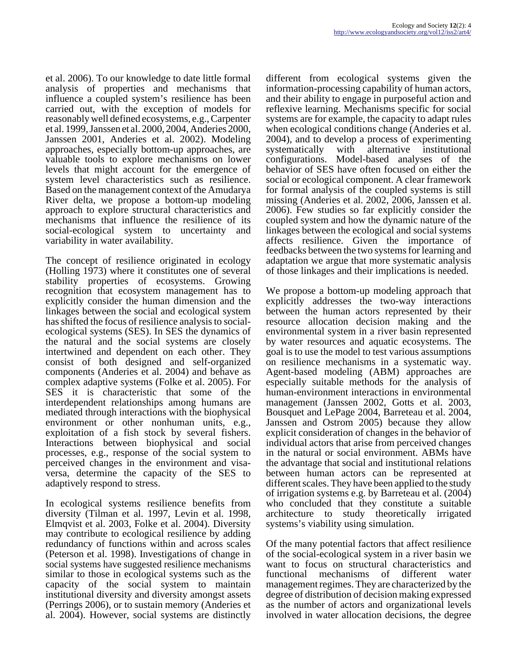et al. 2006). To our knowledge to date little formal analysis of properties and mechanisms that influence a coupled system's resilience has been carried out, with the exception of models for reasonably well defined ecosystems, e.g., Carpenter et al. 1999, Janssen et al. 2000, 2004, Anderies 2000, Janssen 2001, Anderies et al. 2002). Modeling approaches, especially bottom-up approaches, are valuable tools to explore mechanisms on lower levels that might account for the emergence of system level characteristics such as resilience. Based on the management context of the Amudarya River delta, we propose a bottom-up modeling approach to explore structural characteristics and mechanisms that influence the resilience of its social-ecological system to uncertainty and variability in water availability.

The concept of resilience originated in ecology (Holling 1973) where it constitutes one of several stability properties of ecosystems. Growing recognition that ecosystem management has to explicitly consider the human dimension and the linkages between the social and ecological system has shifted the focus of resilience analysis to socialecological systems (SES). In SES the dynamics of the natural and the social systems are closely intertwined and dependent on each other. They consist of both designed and self-organized components (Anderies et al. 2004) and behave as complex adaptive systems (Folke et al. 2005). For SES it is characteristic that some of the interdependent relationships among humans are mediated through interactions with the biophysical environment or other nonhuman units, e.g., exploitation of a fish stock by several fishers. Interactions between biophysical and social processes, e.g., response of the social system to perceived changes in the environment and visaversa, determine the capacity of the SES to adaptively respond to stress.

In ecological systems resilience benefits from diversity (Tilman et al. 1997, Levin et al. 1998, Elmqvist et al. 2003, Folke et al. 2004). Diversity may contribute to ecological resilience by adding redundancy of functions within and across scales (Peterson et al. 1998). Investigations of change in social systems have suggested resilience mechanisms similar to those in ecological systems such as the capacity of the social system to maintain institutional diversity and diversity amongst assets (Perrings 2006), or to sustain memory (Anderies et al. 2004). However, social systems are distinctly

different from ecological systems given the information-processing capability of human actors, and their ability to engage in purposeful action and reflexive learning. Mechanisms specific for social systems are for example, the capacity to adapt rules when ecological conditions change (Anderies et al. 2004), and to develop a process of experimenting systematically with alternative institutional configurations. Model-based analyses of the behavior of SES have often focused on either the social or ecological component. A clear framework for formal analysis of the coupled systems is still missing (Anderies et al. 2002, 2006, Janssen et al. 2006). Few studies so far explicitly consider the coupled system and how the dynamic nature of the linkages between the ecological and social systems affects resilience. Given the importance of feedbacks between the two systems for learning and adaptation we argue that more systematic analysis of those linkages and their implications is needed.

We propose a bottom-up modeling approach that explicitly addresses the two-way interactions between the human actors represented by their resource allocation decision making and the environmental system in a river basin represented by water resources and aquatic ecosystems. The goal is to use the model to test various assumptions on resilience mechanisms in a systematic way. Agent-based modeling (ABM) approaches are especially suitable methods for the analysis of human-environment interactions in environmental management (Janssen 2002, Gotts et al. 2003, Bousquet and LePage 2004, Barreteau et al. 2004, Janssen and Ostrom 2005) because they allow explicit consideration of changes in the behavior of individual actors that arise from perceived changes in the natural or social environment. ABMs have the advantage that social and institutional relations between human actors can be represented at different scales. They have been applied to the study of irrigation systems e.g. by Barreteau et al. (2004) who concluded that they constitute a suitable architecture to study theoretically irrigated systems's viability using simulation.

Of the many potential factors that affect resilience of the social-ecological system in a river basin we want to focus on structural characteristics and functional mechanisms of different water management regimes. They are characterized by the degree of distribution of decision making expressed as the number of actors and organizational levels involved in water allocation decisions, the degree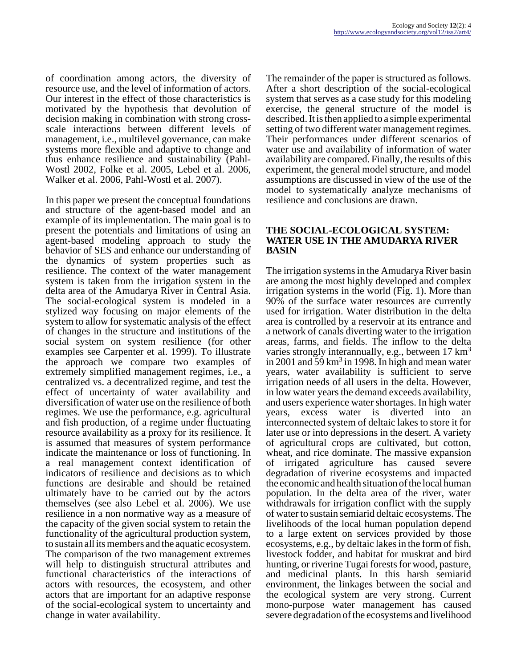of coordination among actors, the diversity of resource use, and the level of information of actors. Our interest in the effect of those characteristics is motivated by the hypothesis that devolution of decision making in combination with strong crossscale interactions between different levels of management, i.e., multilevel governance, can make systems more flexible and adaptive to change and thus enhance resilience and sustainability (Pahl-Wostl 2002, Folke et al. 2005, Lebel et al. 2006, Walker et al. 2006, Pahl-Wostl et al. 2007).

In this paper we present the conceptual foundations and structure of the agent-based model and an example of its implementation. The main goal is to present the potentials and limitations of using an agent-based modeling approach to study the behavior of SES and enhance our understanding of the dynamics of system properties such as resilience. The context of the water management system is taken from the irrigation system in the delta area of the Amudarya River in Central Asia. The social-ecological system is modeled in a stylized way focusing on major elements of the system to allow for systematic analysis of the effect of changes in the structure and institutions of the social system on system resilience (for other examples see Carpenter et al. 1999). To illustrate the approach we compare two examples of extremely simplified management regimes, i.e., a centralized vs. a decentralized regime, and test the effect of uncertainty of water availability and diversification of water use on the resilience of both regimes. We use the performance, e.g. agricultural and fish production, of a regime under fluctuating resource availability as a proxy for its resilience. It is assumed that measures of system performance indicate the maintenance or loss of functioning. In a real management context identification of indicators of resilience and decisions as to which functions are desirable and should be retained ultimately have to be carried out by the actors themselves (see also Lebel et al. 2006). We use resilience in a non normative way as a measure of the capacity of the given social system to retain the functionality of the agricultural production system, to sustain all its members and the aquatic ecosystem. The comparison of the two management extremes will help to distinguish structural attributes and functional characteristics of the interactions of actors with resources, the ecosystem, and other actors that are important for an adaptive response of the social-ecological system to uncertainty and change in water availability.

The remainder of the paper is structured as follows. After a short description of the social-ecological system that serves as a case study for this modeling exercise, the general structure of the model is described. It is then applied to a simple experimental setting of two different water management regimes. Their performances under different scenarios of water use and availability of information of water availability are compared. Finally, the results of this experiment, the general model structure, and model assumptions are discussed in view of the use of the model to systematically analyze mechanisms of resilience and conclusions are drawn.

#### **THE SOCIAL-ECOLOGICAL SYSTEM: WATER USE IN THE AMUDARYA RIVER BASIN**

The irrigation systems in the Amudarya River basin are among the most highly developed and complex irrigation systems in the world (Fig. 1). More than 90% of the surface water resources are currently used for irrigation. Water distribution in the delta area is controlled by a reservoir at its entrance and a network of canals diverting water to the irrigation areas, farms, and fields. The inflow to the delta varies strongly interannually, e.g., between  $17 \text{ km}^3$ in 2001 and  $59 \text{ km}^3$  in 1998. In high and mean water years, water availability is sufficient to serve irrigation needs of all users in the delta. However, in low water years the demand exceeds availability, and users experience water shortages. In high water years, excess water is diverted into an interconnected system of deltaic lakes to store it for later use or into depressions in the desert. A variety of agricultural crops are cultivated, but cotton, wheat, and rice dominate. The massive expansion of irrigated agriculture has caused severe degradation of riverine ecosystems and impacted the economic and health situation of the local human population. In the delta area of the river, water withdrawals for irrigation conflict with the supply of water to sustain semiarid deltaic ecosystems. The livelihoods of the local human population depend to a large extent on services provided by those ecosystems, e.g., by deltaic lakes in the form of fish, livestock fodder, and habitat for muskrat and bird hunting, or riverine Tugai forests for wood, pasture, and medicinal plants. In this harsh semiarid environment, the linkages between the social and the ecological system are very strong. Current mono-purpose water management has caused severe degradation of the ecosystems and livelihood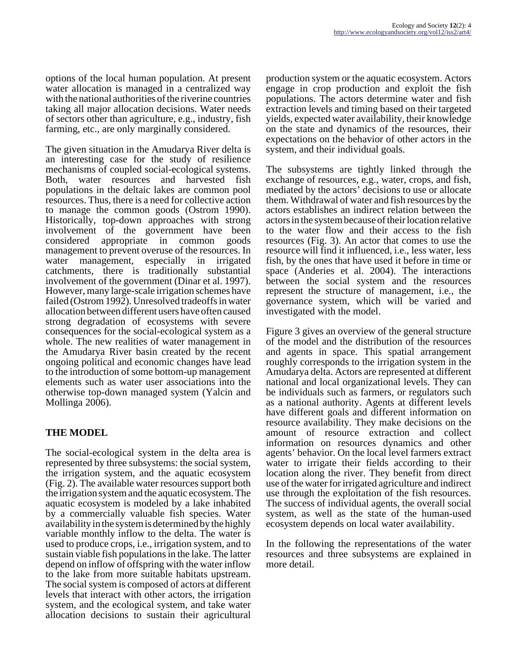options of the local human population. At present water allocation is managed in a centralized way with the national authorities of the riverine countries taking all major allocation decisions. Water needs of sectors other than agriculture, e.g., industry, fish farming, etc., are only marginally considered.

The given situation in the Amudarya River delta is an interesting case for the study of resilience mechanisms of coupled social-ecological systems. Both, water resources and harvested fish populations in the deltaic lakes are common pool resources. Thus, there is a need for collective action to manage the common goods (Ostrom 1990). Historically, top-down approaches with strong involvement of the government have been considered appropriate in common goods management to prevent overuse of the resources. In water management, especially in irrigated catchments, there is traditionally substantial involvement of the government (Dinar et al. 1997). However, many large-scale irrigation schemes have failed (Ostrom 1992). Unresolved tradeoffs in water allocation between different users have often caused strong degradation of ecosystems with severe consequences for the social-ecological system as a whole. The new realities of water management in the Amudarya River basin created by the recent ongoing political and economic changes have lead to the introduction of some bottom-up management elements such as water user associations into the otherwise top-down managed system (Yalcin and Mollinga 2006).

# **THE MODEL**

The social-ecological system in the delta area is represented by three subsystems: the social system, the irrigation system, and the aquatic ecosystem (Fig. 2). The available water resources support both the irrigation system and the aquatic ecosystem. The aquatic ecosystem is modeled by a lake inhabited by a commercially valuable fish species. Water availability in the system is determined by the highly variable monthly inflow to the delta. The water is used to produce crops, i.e., irrigation system, and to sustain viable fish populations in the lake. The latter depend on inflow of offspring with the water inflow to the lake from more suitable habitats upstream. The social system is composed of actors at different levels that interact with other actors, the irrigation system, and the ecological system, and take water allocation decisions to sustain their agricultural

production system or the aquatic ecosystem. Actors engage in crop production and exploit the fish populations. The actors determine water and fish extraction levels and timing based on their targeted yields, expected water availability, their knowledge on the state and dynamics of the resources, their expectations on the behavior of other actors in the system, and their individual goals.

The subsystems are tightly linked through the exchange of resources, e.g., water, crops, and fish, mediated by the actors' decisions to use or allocate them. Withdrawal of water and fish resources by the actors establishes an indirect relation between the actors in the system because of their location relative to the water flow and their access to the fish resources (Fig. 3). An actor that comes to use the resource will find it influenced, i.e., less water, less fish, by the ones that have used it before in time or space (Anderies et al. 2004). The interactions between the social system and the resources represent the structure of management, i.e., the governance system, which will be varied and investigated with the model.

Figure 3 gives an overview of the general structure of the model and the distribution of the resources and agents in space. This spatial arrangement roughly corresponds to the irrigation system in the Amudarya delta. Actors are represented at different national and local organizational levels. They can be individuals such as farmers, or regulators such as a national authority. Agents at different levels have different goals and different information on resource availability. They make decisions on the amount of resource extraction and collect information on resources dynamics and other agents' behavior. On the local level farmers extract water to irrigate their fields according to their location along the river. They benefit from direct use of the water for irrigated agriculture and indirect use through the exploitation of the fish resources. The success of individual agents, the overall social system, as well as the state of the human-used ecosystem depends on local water availability.

In the following the representations of the water resources and three subsystems are explained in more detail.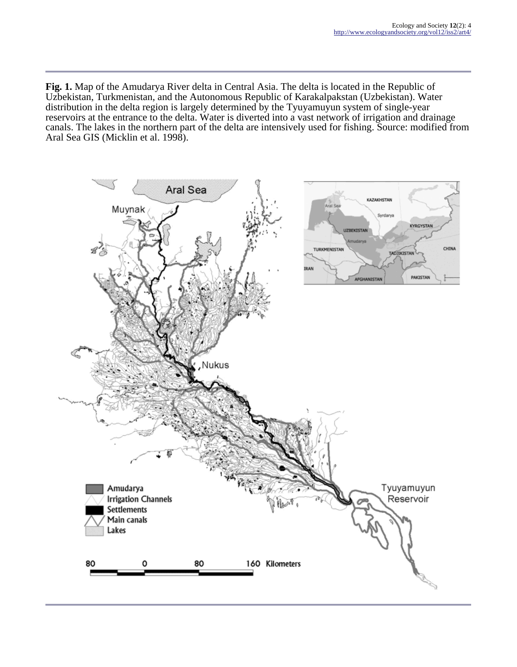**Fig. 1.** Map of the Amudarya River delta in Central Asia. The delta is located in the Republic of Uzbekistan, Turkmenistan, and the Autonomous Republic of Karakalpakstan (Uzbekistan). Water distribution in the delta region is largely determined by the Tyuyamuyun system of single-year reservoirs at the entrance to the delta. Water is diverted into a vast network of irrigation and drainage canals. The lakes in the northern part of the delta are intensively used for fishing. Source: modified from Aral Sea GIS (Micklin et al. 1998).

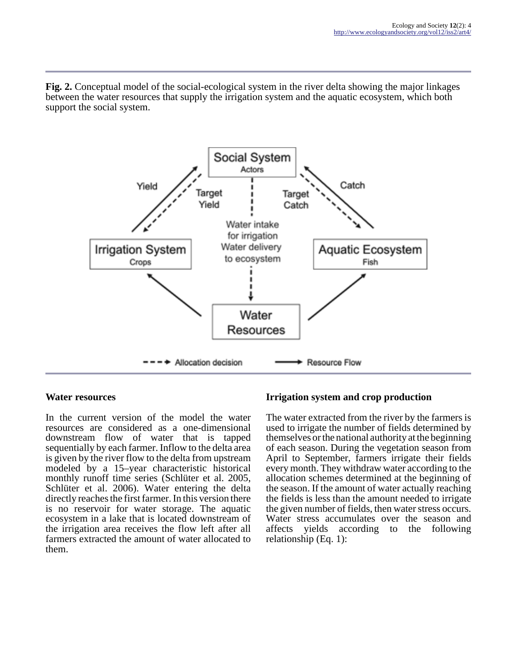**Fig. 2.** Conceptual model of the social-ecological system in the river delta showing the major linkages between the water resources that supply the irrigation system and the aquatic ecosystem, which both support the social system.



# **Water resources**

In the current version of the model the water resources are considered as a one-dimensional downstream flow of water that is tapped sequentially by each farmer. Inflow to the delta area is given by the river flow to the delta from upstream modeled by a 15–year characteristic historical monthly runoff time series (Schlüter et al. 2005, Schlüter et al. 2006). Water entering the delta directly reaches the first farmer. In this version there is no reservoir for water storage. The aquatic ecosystem in a lake that is located downstream of the irrigation area receives the flow left after all farmers extracted the amount of water allocated to them.

# **Irrigation system and crop production**

The water extracted from the river by the farmers is used to irrigate the number of fields determined by themselves or the national authority at the beginning of each season. During the vegetation season from April to September, farmers irrigate their fields every month. They withdraw water according to the allocation schemes determined at the beginning of the season. If the amount of water actually reaching the fields is less than the amount needed to irrigate the given number of fields, then water stress occurs. Water stress accumulates over the season and affects yields according to the following relationship (Eq. 1):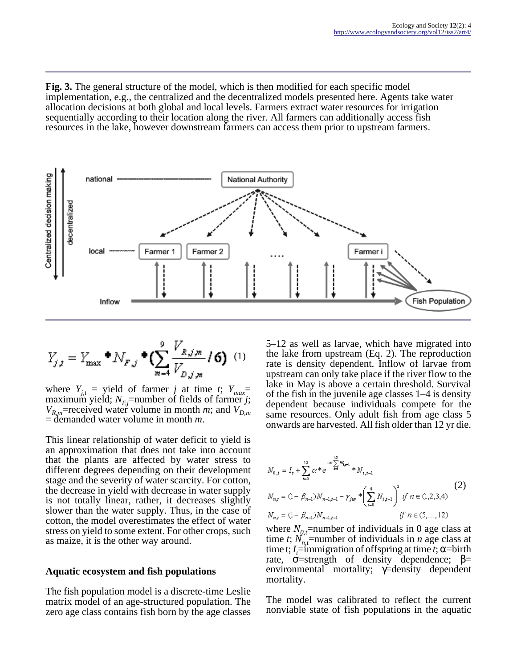**Fig. 3.** The general structure of the model, which is then modified for each specific model implementation, e.g., the centralized and the decentralized models presented here. Agents take water allocation decisions at both global and local levels. Farmers extract water resources for irrigation sequentially according to their location along the river. All farmers can additionally access fish resources in the lake, however downstream farmers can access them prior to upstream farmers.



$$
Y_{j,j} = Y_{\text{max}} \bullet N_{F,j} \bullet (\sum_{m=4}^{9} \frac{V_{R,j,m}}{V_{D,j,m}} / 6) \tag{1}
$$

where  $Y_{i,t}$  = yield of farmer *j* at time *t*;  $Y_{max}$ = maximum yield;  $N_{F,j}$ =number of fields of farmer *j*;  $V_{R,m}$ =received water volume in month *m*; and  $V_{D,m}$ = demanded water volume in month *m*.

This linear relationship of water deficit to yield is an approximation that does not take into account that the plants are affected by water stress to different degrees depending on their development stage and the severity of water scarcity. For cotton, the decrease in yield with decrease in water supply is not totally linear, rather, it decreases slightly slower than the water supply. Thus, in the case of cotton, the model overestimates the effect of water stress on yield to some extent. For other crops, such as maize, it is the other way around.

#### **Aquatic ecosystem and fish populations**

The fish population model is a discrete-time Leslie matrix model of an age-structured population. The zero age class contains fish born by the age classes 5–12 as well as larvae, which have migrated into the lake from upstream (Eq. 2). The reproduction rate is density dependent. Inflow of larvae from upstream can only take place if the river flow to the lake in May is above a certain threshold. Survival of the fish in the juvenile age classes 1–4 is density dependent because individuals compete for the same resources. Only adult fish from age class 5 onwards are harvested. All fish older than 12 yr die.

$$
N_{0,t} = I_t + \sum_{i=5}^{12} \alpha^* e^{-\sigma \sum_{i=5}^{12} N_{i,t-1}} * N_{i,t-1}
$$
  
\n
$$
N_{n,t} = (1 - \beta_{n-1}) N_{n-1,t-1} - \gamma_{j\omega} * \left(\sum_{i=0}^{4} N_{i,t-1}\right)^2 if n \in (1,2,3,4)
$$
  
\n
$$
N_{n,t} = (1 - \beta_{n-1}) N_{n-1,t-1} \qquad \text{if } n \in (5,...,12)
$$

where  $N_0$ <sub> $\tau$ </sub>=number of individuals in 0 age class at time *t*;  $N_{n,t}$ =number of individuals in *n* age class at time t;  $I_t$ =immigration of offspring at time *t*;  $\alpha$ =birth rate,  $\sigma$ =strength of density dependence;  $\beta$ = environmental mortality; γ=density dependent mortality.

The model was calibrated to reflect the current nonviable state of fish populations in the aquatic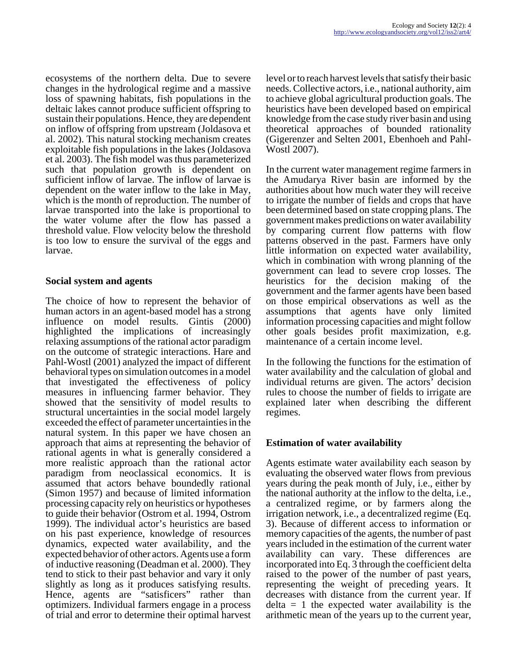ecosystems of the northern delta. Due to severe changes in the hydrological regime and a massive loss of spawning habitats, fish populations in the deltaic lakes cannot produce sufficient offspring to sustain their populations. Hence, they are dependent on inflow of offspring from upstream (Joldasova et al. 2002). This natural stocking mechanism creates exploitable fish populations in the lakes (Joldasova et al. 2003). The fish model was thus parameterized such that population growth is dependent on sufficient inflow of larvae. The inflow of larvae is dependent on the water inflow to the lake in May, which is the month of reproduction. The number of larvae transported into the lake is proportional to the water volume after the flow has passed a threshold value. Flow velocity below the threshold is too low to ensure the survival of the eggs and larvae.

# **Social system and agents**

The choice of how to represent the behavior of human actors in an agent-based model has a strong influence on model results. Gintis (2000) highlighted the implications of increasingly relaxing assumptions of the rational actor paradigm on the outcome of strategic interactions. Hare and Pahl-Wostl (2001) analyzed the impact of different behavioral types on simulation outcomes in a model that investigated the effectiveness of policy measures in influencing farmer behavior. They showed that the sensitivity of model results to structural uncertainties in the social model largely exceeded the effect of parameter uncertainties in the natural system. In this paper we have chosen an approach that aims at representing the behavior of rational agents in what is generally considered a more realistic approach than the rational actor paradigm from neoclassical economics. It is assumed that actors behave boundedly rational (Simon 1957) and because of limited information processing capacity rely on heuristics or hypotheses to guide their behavior (Ostrom et al. 1994, Ostrom 1999). The individual actor's heuristics are based on his past experience, knowledge of resources dynamics, expected water availability, and the expected behavior of other actors. Agents use a form of inductive reasoning (Deadman et al. 2000). They tend to stick to their past behavior and vary it only slightly as long as it produces satisfying results. Hence, agents are "satisficers" rather than optimizers. Individual farmers engage in a process of trial and error to determine their optimal harvest

level or to reach harvest levels that satisfy their basic needs. Collective actors, i.e., national authority, aim to achieve global agricultural production goals. The heuristics have been developed based on empirical knowledge from the case study river basin and using theoretical approaches of bounded rationality (Gigerenzer and Selten 2001, Ebenhoeh and Pahl-Wostl 2007).

In the current water management regime farmers in the Amudarya River basin are informed by the authorities about how much water they will receive to irrigate the number of fields and crops that have been determined based on state cropping plans. The government makes predictions on water availability by comparing current flow patterns with flow patterns observed in the past. Farmers have only little information on expected water availability, which in combination with wrong planning of the government can lead to severe crop losses. The heuristics for the decision making of the government and the farmer agents have been based on those empirical observations as well as the assumptions that agents have only limited information processing capacities and might follow other goals besides profit maximization, e.g. maintenance of a certain income level.

In the following the functions for the estimation of water availability and the calculation of global and individual returns are given. The actors' decision rules to choose the number of fields to irrigate are explained later when describing the different regimes.

# **Estimation of water availability**

Agents estimate water availability each season by evaluating the observed water flows from previous years during the peak month of July, i.e., either by the national authority at the inflow to the delta, i.e., a centralized regime, or by farmers along the irrigation network, i.e., a decentralized regime (Eq. 3). Because of different access to information or memory capacities of the agents, the number of past years included in the estimation of the current water availability can vary. These differences are incorporated into Eq. 3 through the coefficient delta raised to the power of the number of past years, representing the weight of preceding years. It decreases with distance from the current year. If  $delta = 1$  the expected water availability is the arithmetic mean of the years up to the current year,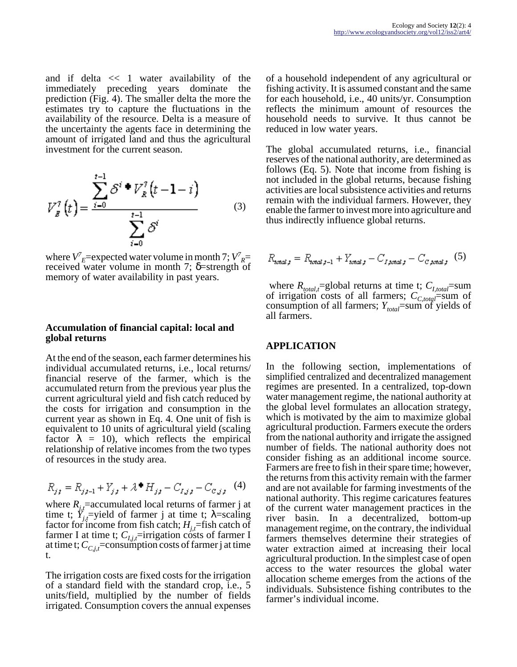and if delta << 1 water availability of the immediately preceding years dominate the prediction (Fig. 4). The smaller delta the more the estimates try to capture the fluctuations in the availability of the resource. Delta is a measure of the uncertainty the agents face in determining the amount of irrigated land and thus the agricultural investment for the current season.

$$
V_{B}^{\gamma}\left(t\right) = \frac{\sum_{i=0}^{t-1} \delta^{i} \cdot V_{B}^{\gamma}\left(t-1-i\right)}{\sum_{i=0}^{t-1} \delta^{i}} \tag{3}
$$

where  $V^7$ <sub>E</sub>=expected water volume in month 7;  $V^7$ <sub>R</sub>= received water volume in month 7;  $\delta$ =strength of memory of water availability in past years.

#### **Accumulation of financial capital: local and global returns**

At the end of the season, each farmer determines his individual accumulated returns, i.e., local returns/ financial reserve of the farmer, which is the accumulated return from the previous year plus the current agricultural yield and fish catch reduced by the costs for irrigation and consumption in the current year as shown in Eq. 4. One unit of fish is equivalent to 10 units of agricultural yield (scaling factor  $\lambda = 10$ , which reflects the empirical relationship of relative incomes from the two types of resources in the study area.

$$
R_{j\,j} = R_{j\,j-1} + Y_{j\,j} + \lambda^{\bullet} H_{j\,j} - C_{I,j\,j} - C_{C,j\,j} \quad (4)
$$

where  $R_{j,t}$ =accumulated local returns of farmer j at time t;  $\hat{Y}_{j,t}$ =yield of farmer j at time t;  $\lambda$ =scaling factor for income from fish catch;  $H_{j,t}$ =fish catch of farmer I at time t;  $C_{I,i,t}$ =irrigation costs of farmer I at time t;  $C_{C,i,t}$ =consumption costs of farmer j at time t.

The irrigation costs are fixed costs for the irrigation of a standard field with the standard crop, i.e., 5 units/field, multiplied by the number of fields irrigated. Consumption covers the annual expenses of a household independent of any agricultural or fishing activity. It is assumed constant and the same for each household, i.e., 40 units/yr. Consumption reflects the minimum amount of resources the household needs to survive. It thus cannot be reduced in low water years.

The global accumulated returns, i.e., financial reserves of the national authority, are determined as follows (Eq. 5). Note that income from fishing is not included in the global returns, because fishing activities are local subsistence activities and returns remain with the individual farmers. However, they enable the farmer to invest more into agriculture and thus indirectly influence global returns.

$$
R_{total,i} = R_{total,i-1} + Y_{total,i} - C_{I,total,i} - C_{C,total,i} \quad (5)
$$

where  $R_{total,t}$ =global returns at time t;  $C_{I,total}$ =sum of irrigation costs of all farmers;  $C_{C, total}$ =sum of consumption of all farmers; *Ytotal*=sum of yields of all farmers.

#### **APPLICATION**

In the following section, implementations of simplified centralized and decentralized management regimes are presented. In a centralized, top-down water management regime, the national authority at the global level formulates an allocation strategy, which is motivated by the aim to maximize global agricultural production. Farmers execute the orders from the national authority and irrigate the assigned number of fields. The national authority does not consider fishing as an additional income source. Farmers are free to fish in their spare time; however, the returns from this activity remain with the farmer and are not available for farming investments of the national authority. This regime caricatures features of the current water management practices in the river basin. In a decentralized, bottom-up management regime, on the contrary, the individual farmers themselves determine their strategies of water extraction aimed at increasing their local agricultural production. In the simplest case of open access to the water resources the global water allocation scheme emerges from the actions of the individuals. Subsistence fishing contributes to the farmer's individual income.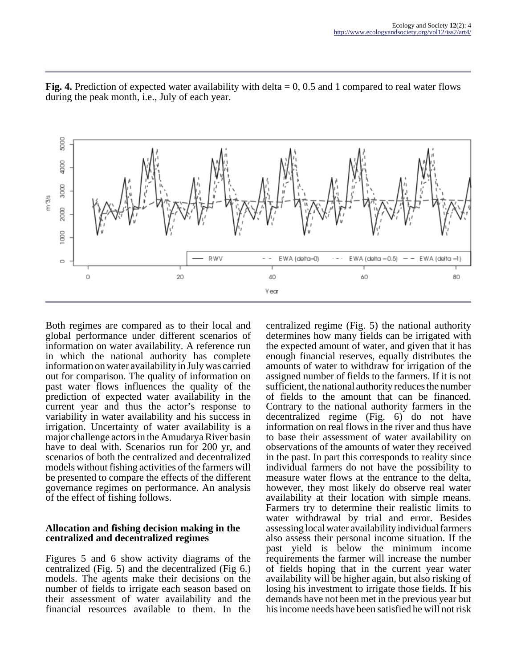

**Fig. 4.** Prediction of expected water availability with delta  $= 0$ , 0.5 and 1 compared to real water flows during the peak month, i.e., July of each year.

Both regimes are compared as to their local and global performance under different scenarios of information on water availability. A reference run in which the national authority has complete information on water availability in July was carried out for comparison. The quality of information on past water flows influences the quality of the prediction of expected water availability in the current year and thus the actor's response to variability in water availability and his success in irrigation. Uncertainty of water availability is a major challenge actors in the Amudarya River basin have to deal with. Scenarios run for 200 yr, and scenarios of both the centralized and decentralized models without fishing activities of the farmers will be presented to compare the effects of the different governance regimes on performance. An analysis of the effect of fishing follows.

#### **Allocation and fishing decision making in the centralized and decentralized regimes**

Figures 5 and 6 show activity diagrams of the centralized (Fig. 5) and the decentralized (Fig 6.) models. The agents make their decisions on the number of fields to irrigate each season based on their assessment of water availability and the financial resources available to them. In the

centralized regime (Fig. 5) the national authority determines how many fields can be irrigated with the expected amount of water, and given that it has enough financial reserves, equally distributes the amounts of water to withdraw for irrigation of the assigned number of fields to the farmers. If it is not sufficient, the national authority reduces the number of fields to the amount that can be financed. Contrary to the national authority farmers in the decentralized regime (Fig. 6) do not have information on real flows in the river and thus have to base their assessment of water availability on observations of the amounts of water they received in the past. In part this corresponds to reality since individual farmers do not have the possibility to measure water flows at the entrance to the delta, however, they most likely do observe real water availability at their location with simple means. Farmers try to determine their realistic limits to water withdrawal by trial and error. Besides assessing local water availability individual farmers also assess their personal income situation. If the past yield is below the minimum income requirements the farmer will increase the number of fields hoping that in the current year water availability will be higher again, but also risking of losing his investment to irrigate those fields. If his demands have not been met in the previous year but his income needs have been satisfied he will not risk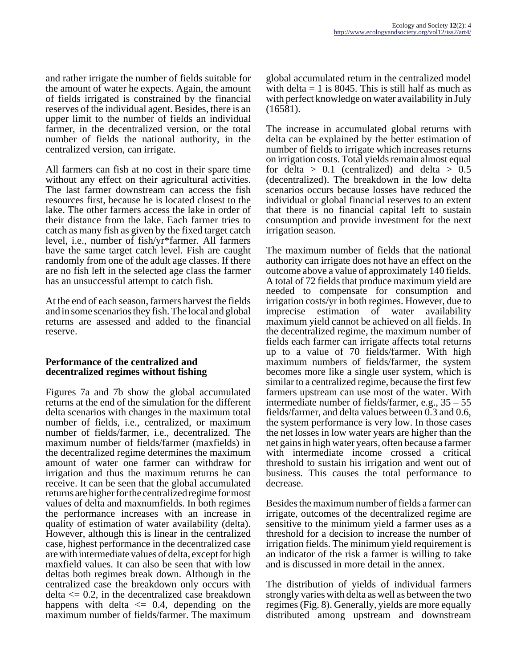and rather irrigate the number of fields suitable for the amount of water he expects. Again, the amount of fields irrigated is constrained by the financial reserves of the individual agent. Besides, there is an upper limit to the number of fields an individual farmer, in the decentralized version, or the total number of fields the national authority, in the centralized version, can irrigate.

All farmers can fish at no cost in their spare time without any effect on their agricultural activities. The last farmer downstream can access the fish resources first, because he is located closest to the lake. The other farmers access the lake in order of their distance from the lake. Each farmer tries to catch as many fish as given by the fixed target catch level, i.e., number of fish/yr\*farmer. All farmers have the same target catch level. Fish are caught randomly from one of the adult age classes. If there are no fish left in the selected age class the farmer has an unsuccessful attempt to catch fish.

At the end of each season, farmers harvest the fields and in some scenarios they fish. The local and global returns are assessed and added to the financial reserve.

### **Performance of the centralized and decentralized regimes without fishing**

Figures 7a and 7b show the global accumulated returns at the end of the simulation for the different delta scenarios with changes in the maximum total number of fields, i.e., centralized, or maximum number of fields/farmer, i.e., decentralized. The maximum number of fields/farmer (maxfields) in the decentralized regime determines the maximum amount of water one farmer can withdraw for irrigation and thus the maximum returns he can receive. It can be seen that the global accumulated returns are higher for the centralized regime for most values of delta and maxnumfields. In both regimes the performance increases with an increase in quality of estimation of water availability (delta). However, although this is linear in the centralized case, highest performance in the decentralized case are with intermediate values of delta, except for high maxfield values. It can also be seen that with low deltas both regimes break down. Although in the centralized case the breakdown only occurs with  $delta \ll 0.2$ , in the decentralized case breakdown happens with delta  $\leq 0.4$ , depending on the maximum number of fields/farmer. The maximum

global accumulated return in the centralized model with delta  $= 1$  is 8045. This is still half as much as with perfect knowledge on water availability in July (16581).

The increase in accumulated global returns with delta can be explained by the better estimation of number of fields to irrigate which increases returns on irrigation costs. Total yields remain almost equal for delta  $> 0.1$  (centralized) and delta  $> 0.5$ (decentralized). The breakdown in the low delta scenarios occurs because losses have reduced the individual or global financial reserves to an extent that there is no financial capital left to sustain consumption and provide investment for the next irrigation season.

The maximum number of fields that the national authority can irrigate does not have an effect on the outcome above a value of approximately 140 fields. A total of 72 fields that produce maximum yield are needed to compensate for consumption and irrigation costs/yr in both regimes. However, due to imprecise estimation of water availability maximum yield cannot be achieved on all fields. In the decentralized regime, the maximum number of fields each farmer can irrigate affects total returns up to a value of 70 fields/farmer. With high maximum numbers of fields/farmer, the system becomes more like a single user system, which is similar to a centralized regime, because the first few farmers upstream can use most of the water. With intermediate number of fields/farmer, e.g., 35 – 55 fields/farmer, and delta values between 0.3 and 0.6, the system performance is very low. In those cases the net losses in low water years are higher than the net gains in high water years, often because a farmer with intermediate income crossed a critical threshold to sustain his irrigation and went out of business. This causes the total performance to decrease.

Besides the maximum number of fields a farmer can irrigate, outcomes of the decentralized regime are sensitive to the minimum yield a farmer uses as a threshold for a decision to increase the number of irrigation fields. The minimum yield requirement is an indicator of the risk a farmer is willing to take and is discussed in more detail in the annex.

The distribution of yields of individual farmers strongly varies with delta as well as between the two regimes (Fig. 8). Generally, yields are more equally distributed among upstream and downstream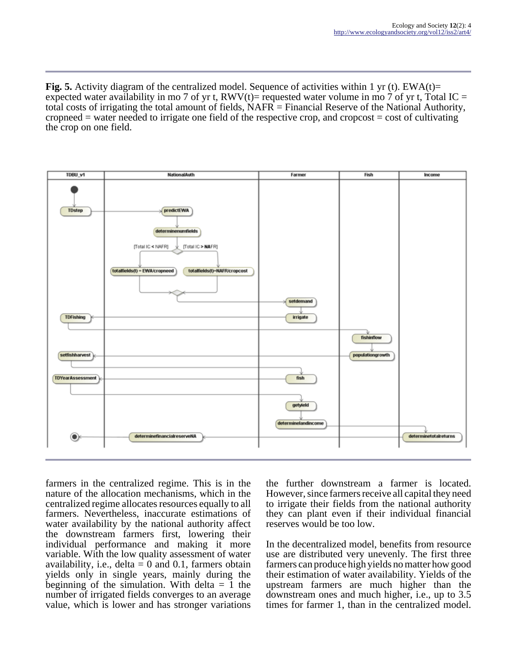**Fig. 5.** Activity diagram of the centralized model. Sequence of activities within 1 yr (t). EWA(t)= expected water availability in mo 7 of yr t,  $RWV(t)$ = requested water volume in mo 7 of yr t, Total IC = total costs of irrigating the total amount of fields, NAFR = Financial Reserve of the National Authority, cropneed = water needed to irrigate one field of the respective crop, and cropcost = cost of cultivating the crop on one field.



farmers in the centralized regime. This is in the nature of the allocation mechanisms, which in the centralized regime allocates resources equally to all farmers. Nevertheless, inaccurate estimations of water availability by the national authority affect the downstream farmers first, lowering their individual performance and making it more variable. With the low quality assessment of water availability, i.e., delta  $= 0$  and 0.1, farmers obtain yields only in single years, mainly during the beginning of the simulation. With delta  $= 1$  the number of irrigated fields converges to an average value, which is lower and has stronger variations

the further downstream a farmer is located. However, since farmers receive all capital they need to irrigate their fields from the national authority they can plant even if their individual financial reserves would be too low.

In the decentralized model, benefits from resource use are distributed very unevenly. The first three farmers can produce high yields no matter how good their estimation of water availability. Yields of the upstream farmers are much higher than the downstream ones and much higher, i.e., up to 3.5 times for farmer 1, than in the centralized model.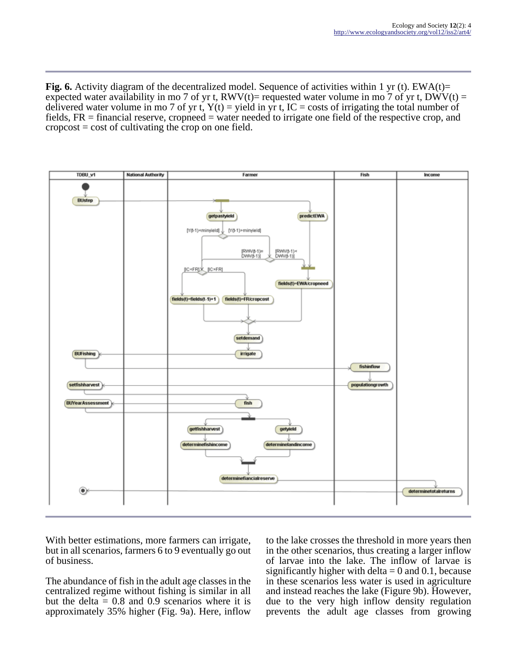**Fig. 6.** Activity diagram of the decentralized model. Sequence of activities within 1 yr (t). EWA(t)= expected water availability in mo 7 of yr t, RWV(t)= requested water volume in mo 7 of yr t, DWV(t) = delivered water volume in mo 7 of yr t,  $Y(t) =$  yield in yr t, IC = costs of irrigating the total number of fields, FR = financial reserve, cropneed = water needed to irrigate one field of the respective crop, and  $\text{cropcost} = \text{cost}$  of cultivating the crop on one field.



With better estimations, more farmers can irrigate, but in all scenarios, farmers 6 to 9 eventually go out of business.

The abundance of fish in the adult age classes in the centralized regime without fishing is similar in all but the delta  $= 0.8$  and 0.9 scenarios where it is approximately 35% higher (Fig. 9a). Here, inflow to the lake crosses the threshold in more years then in the other scenarios, thus creating a larger inflow of larvae into the lake. The inflow of larvae is significantly higher with delta  $= 0$  and 0.1, because in these scenarios less water is used in agriculture and instead reaches the lake (Figure 9b). However, due to the very high inflow density regulation prevents the adult age classes from growing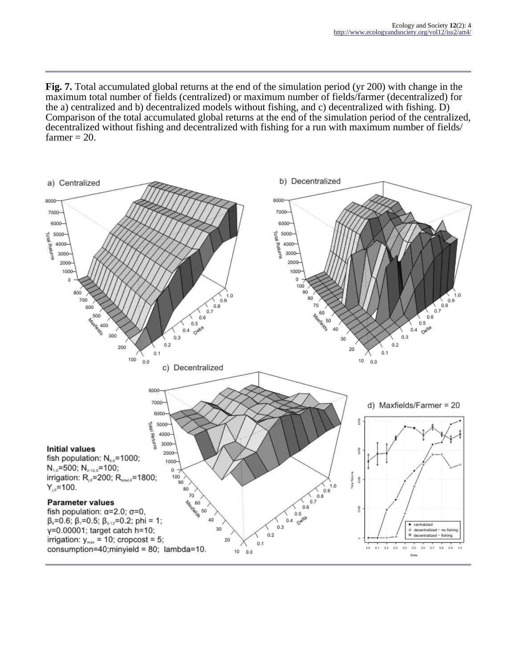**Fig. 7.** Total accumulated global returns at the end of the simulation period (yr 200) with change in the maximum total number of fields (centralized) or maximum number of fields/farmer (decentralized) for the a) centralized and b) decentralized models without fishing, and c) decentralized with fishing. D) Comparison of the total accumulated global returns at the end of the simulation period of the centralized, decentralized without fishing and decentralized with fishing for a run with maximum number of fields/  $farmer = 20$ .

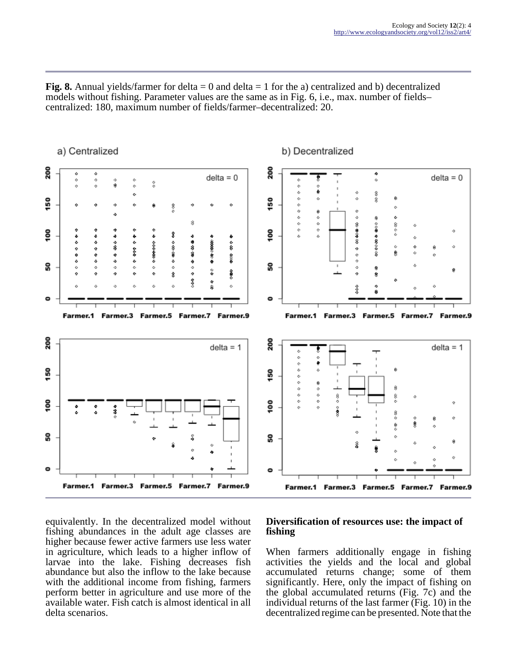**Fig. 8.** Annual yields/farmer for delta  $= 0$  and delta  $= 1$  for the a) centralized and b) decentralized models without fishing. Parameter values are the same as in Fig. 6, i.e., max. number of fields– centralized: 180, maximum number of fields/farmer–decentralized: 20.



a) Centralized

b) Decentralized

equivalently. In the decentralized model without fishing abundances in the adult age classes are higher because fewer active farmers use less water in agriculture, which leads to a higher inflow of larvae into the lake. Fishing decreases fish abundance but also the inflow to the lake because with the additional income from fishing, farmers perform better in agriculture and use more of the available water. Fish catch is almost identical in all delta scenarios.

### **Diversification of resources use: the impact of fishing**

When farmers additionally engage in fishing activities the yields and the local and global accumulated returns change; some of them significantly. Here, only the impact of fishing on the global accumulated returns (Fig. 7c) and the individual returns of the last farmer (Fig. 10) in the decentralized regime can be presented. Note that the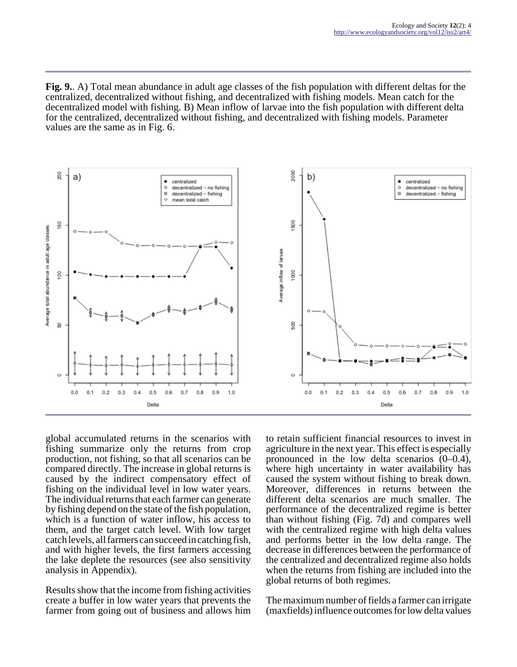**Fig. 9.**. A) Total mean abundance in adult age classes of the fish population with different deltas for the centralized, decentralized without fishing, and decentralized with fishing models. Mean catch for the decentralized model with fishing. B) Mean inflow of larvae into the fish population with different delta for the centralized, decentralized without fishing, and decentralized with fishing models. Parameter values are the same as in Fig. 6.



global accumulated returns in the scenarios with fishing summarize only the returns from crop production, not fishing, so that all scenarios can be compared directly. The increase in global returns is caused by the indirect compensatory effect of fishing on the individual level in low water years. The individual returns that each farmer can generate by fishing depend on the state of the fish population, which is a function of water inflow, his access to them, and the target catch level. With low target catch levels, all farmers can succeed in catching fish, and with higher levels, the first farmers accessing the lake deplete the resources (see also sensitivity analysis in Appendix).

Results show that the income from fishing activities create a buffer in low water years that prevents the farmer from going out of business and allows him to retain sufficient financial resources to invest in agriculture in the next year. This effect is especially pronounced in the low delta scenarios (0–0.4), where high uncertainty in water availability has caused the system without fishing to break down. Moreover, differences in returns between the different delta scenarios are much smaller. The performance of the decentralized regime is better than without fishing (Fig. 7d) and compares well with the centralized regime with high delta values and performs better in the low delta range. The decrease in differences between the performance of the centralized and decentralized regime also holds when the returns from fishing are included into the global returns of both regimes.

The maximum number of fields a farmer can irrigate (maxfields) influence outcomes for low delta values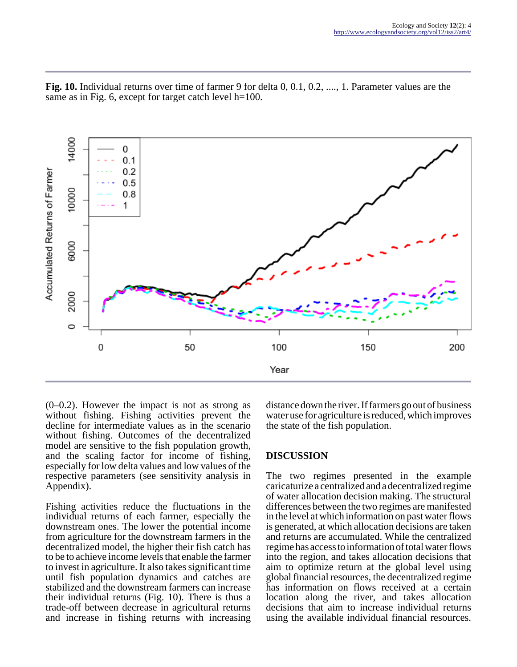

**Fig. 10.** Individual returns over time of farmer 9 for delta 0, 0.1, 0.2, ...., 1. Parameter values are the same as in Fig. 6, except for target catch level h=100.

(0–0.2). However the impact is not as strong as without fishing. Fishing activities prevent the decline for intermediate values as in the scenario without fishing. Outcomes of the decentralized model are sensitive to the fish population growth, and the scaling factor for income of fishing, especially for low delta values and low values of the respective parameters (see sensitivity analysis in Appendix).

Fishing activities reduce the fluctuations in the individual returns of each farmer, especially the downstream ones. The lower the potential income from agriculture for the downstream farmers in the decentralized model, the higher their fish catch has to be to achieve income levels that enable the farmer to invest in agriculture. It also takes significant time until fish population dynamics and catches are stabilized and the downstream farmers can increase their individual returns (Fig. 10). There is thus a trade-off between decrease in agricultural returns and increase in fishing returns with increasing distance down the river. If farmers go out of business water use for agriculture is reduced, which improves the state of the fish population.

# **DISCUSSION**

The two regimes presented in the example caricaturize a centralized and a decentralized regime of water allocation decision making. The structural differences between the two regimes are manifested in the level at which information on past water flows is generated, at which allocation decisions are taken and returns are accumulated. While the centralized regime has access to information of total water flows into the region, and takes allocation decisions that aim to optimize return at the global level using global financial resources, the decentralized regime has information on flows received at a certain location along the river, and takes allocation decisions that aim to increase individual returns using the available individual financial resources.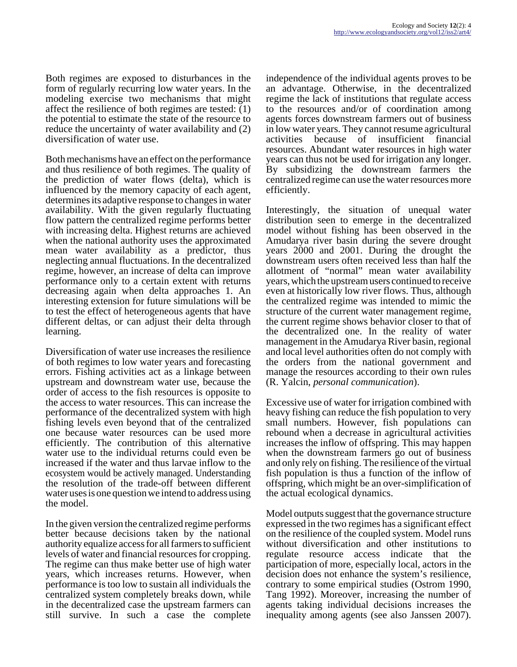Both regimes are exposed to disturbances in the form of regularly recurring low water years. In the modeling exercise two mechanisms that might affect the resilience of both regimes are tested: (1) the potential to estimate the state of the resource to reduce the uncertainty of water availability and (2) diversification of water use.

Both mechanisms have an effect on the performance and thus resilience of both regimes. The quality of the prediction of water flows (delta), which is influenced by the memory capacity of each agent, determines its adaptive response to changes in water availability. With the given regularly fluctuating flow pattern the centralized regime performs better with increasing delta. Highest returns are achieved when the national authority uses the approximated mean water availability as a predictor, thus neglecting annual fluctuations. In the decentralized regime, however, an increase of delta can improve performance only to a certain extent with returns decreasing again when delta approaches 1. An interesting extension for future simulations will be to test the effect of heterogeneous agents that have different deltas, or can adjust their delta through learning.

Diversification of water use increases the resilience of both regimes to low water years and forecasting errors. Fishing activities act as a linkage between upstream and downstream water use, because the order of access to the fish resources is opposite to the access to water resources. This can increase the performance of the decentralized system with high fishing levels even beyond that of the centralized one because water resources can be used more efficiently. The contribution of this alternative water use to the individual returns could even be increased if the water and thus larvae inflow to the ecosystem would be actively managed. Understanding the resolution of the trade-off between different water uses is one question we intend to address using the model.

In the given version the centralized regime performs better because decisions taken by the national authority equalize access for all farmers to sufficient levels of water and financial resources for cropping. The regime can thus make better use of high water years, which increases returns. However, when performance is too low to sustain all individuals the centralized system completely breaks down, while in the decentralized case the upstream farmers can still survive. In such a case the complete

independence of the individual agents proves to be an advantage. Otherwise, in the decentralized regime the lack of institutions that regulate access to the resources and/or of coordination among agents forces downstream farmers out of business in low water years. They cannot resume agricultural activities because of insufficient financial resources. Abundant water resources in high water years can thus not be used for irrigation any longer. By subsidizing the downstream farmers the centralized regime can use the water resources more efficiently.

Interestingly, the situation of unequal water distribution seen to emerge in the decentralized model without fishing has been observed in the Amudarya river basin during the severe drought years 2000 and 2001. During the drought the downstream users often received less than half the allotment of "normal" mean water availability years, which the upstream users continued to receive even at historically low river flows. Thus, although the centralized regime was intended to mimic the structure of the current water management regime, the current regime shows behavior closer to that of the decentralized one. In the reality of water management in the Amudarya River basin, regional and local level authorities often do not comply with the orders from the national government and manage the resources according to their own rules (R. Yalcin, *personal communication*).

Excessive use of water for irrigation combined with heavy fishing can reduce the fish population to very small numbers. However, fish populations can rebound when a decrease in agricultural activities increases the inflow of offspring. This may happen when the downstream farmers go out of business and only rely on fishing. The resilience of the virtual fish population is thus a function of the inflow of offspring, which might be an over-simplification of the actual ecological dynamics.

Model outputs suggest that the governance structure expressed in the two regimes has a significant effect on the resilience of the coupled system. Model runs without diversification and other institutions to regulate resource access indicate that the participation of more, especially local, actors in the decision does not enhance the system's resilience, contrary to some empirical studies (Ostrom 1990, Tang 1992). Moreover, increasing the number of agents taking individual decisions increases the inequality among agents (see also Janssen 2007).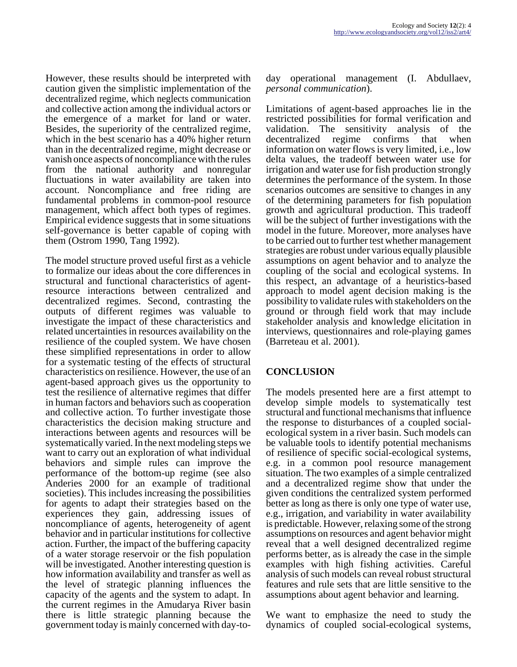However, these results should be interpreted with caution given the simplistic implementation of the decentralized regime, which neglects communication and collective action among the individual actors or the emergence of a market for land or water. Besides, the superiority of the centralized regime, which in the best scenario has a 40% higher return than in the decentralized regime, might decrease or vanish once aspects of noncompliance with the rules from the national authority and nonregular fluctuations in water availability are taken into account. Noncompliance and free riding are fundamental problems in common-pool resource management, which affect both types of regimes. Empirical evidence suggests that in some situations self-governance is better capable of coping with them (Ostrom 1990, Tang 1992).

The model structure proved useful first as a vehicle to formalize our ideas about the core differences in structural and functional characteristics of agentresource interactions between centralized and decentralized regimes. Second, contrasting the outputs of different regimes was valuable to investigate the impact of these characteristics and related uncertainties in resources availability on the resilience of the coupled system. We have chosen these simplified representations in order to allow for a systematic testing of the effects of structural characteristics on resilience. However, the use of an agent-based approach gives us the opportunity to test the resilience of alternative regimes that differ in human factors and behaviors such as cooperation and collective action. To further investigate those characteristics the decision making structure and interactions between agents and resources will be systematically varied. In the next modeling steps we want to carry out an exploration of what individual behaviors and simple rules can improve the performance of the bottom-up regime (see also Anderies 2000 for an example of traditional societies). This includes increasing the possibilities for agents to adapt their strategies based on the experiences they gain, addressing issues of noncompliance of agents, heterogeneity of agent behavior and in particular institutions for collective action. Further, the impact of the buffering capacity of a water storage reservoir or the fish population will be investigated. Another interesting question is how information availability and transfer as well as the level of strategic planning influences the capacity of the agents and the system to adapt. In the current regimes in the Amudarya River basin there is little strategic planning because the government today is mainly concerned with day-today operational management (I. Abdullaev, *personal communication*).

Limitations of agent-based approaches lie in the restricted possibilities for formal verification and validation. The sensitivity analysis of the decentralized regime confirms that when information on water flows is very limited, i.e., low delta values, the tradeoff between water use for irrigation and water use for fish production strongly determines the performance of the system. In those scenarios outcomes are sensitive to changes in any of the determining parameters for fish population growth and agricultural production. This tradeoff will be the subject of further investigations with the model in the future. Moreover, more analyses have to be carried out to further test whether management strategies are robust under various equally plausible assumptions on agent behavior and to analyze the coupling of the social and ecological systems. In this respect, an advantage of a heuristics-based approach to model agent decision making is the possibility to validate rules with stakeholders on the ground or through field work that may include stakeholder analysis and knowledge elicitation in interviews, questionnaires and role-playing games (Barreteau et al. 2001).

# **CONCLUSION**

The models presented here are a first attempt to develop simple models to systematically test structural and functional mechanisms that influence the response to disturbances of a coupled socialecological system in a river basin. Such models can be valuable tools to identify potential mechanisms of resilience of specific social-ecological systems, e.g. in a common pool resource management situation. The two examples of a simple centralized and a decentralized regime show that under the given conditions the centralized system performed better as long as there is only one type of water use, e.g., irrigation, and variability in water availability is predictable. However, relaxing some of the strong assumptions on resources and agent behavior might reveal that a well designed decentralized regime performs better, as is already the case in the simple examples with high fishing activities. Careful analysis of such models can reveal robust structural features and rule sets that are little sensitive to the assumptions about agent behavior and learning.

We want to emphasize the need to study the dynamics of coupled social-ecological systems,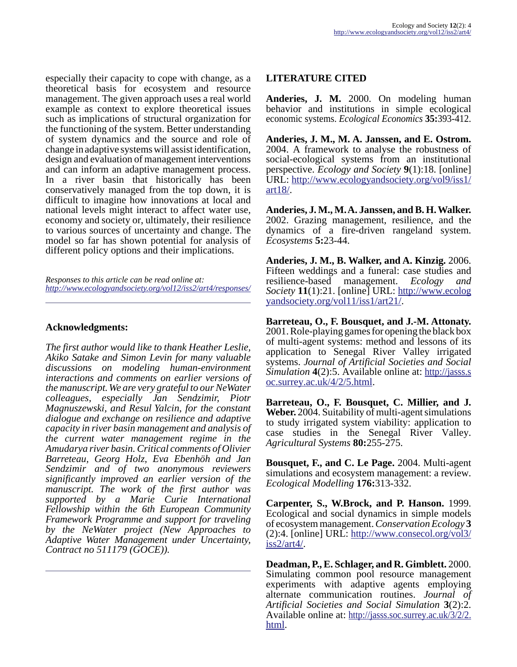especially their capacity to cope with change, as a theoretical basis for ecosystem and resource management. The given approach uses a real world example as context to explore theoretical issues such as implications of structural organization for the functioning of the system. Better understanding of system dynamics and the source and role of change in adaptive systems will assist identification, design and evaluation of management interventions and can inform an adaptive management process. In a river basin that historically has been conservatively managed from the top down, it is difficult to imagine how innovations at local and national levels might interact to affect water use, economy and society or, ultimately, their resilience to various sources of uncertainty and change. The model so far has shown potential for analysis of different policy options and their implications.

*Responses to this article can be read online at: <http://www.ecologyandsociety.org/vol12/iss2/art4/responses/>*

### **Acknowledgments:**

*The first author would like to thank Heather Leslie, Akiko Satake and Simon Levin for many valuable discussions on modeling human-environment interactions and comments on earlier versions of the manuscript. We are very grateful to our NeWater colleagues, especially Jan Sendzimir, Piotr Magnuszewski, and Resul Yalcin, for the constant dialogue and exchange on resilience and adaptive capacity in river basin management and analysis of the current water management regime in the Amudarya river basin. Critical comments of Olivier Barreteau, Georg Holz, Eva Ebenhöh and Jan Sendzimir and of two anonymous reviewers significantly improved an earlier version of the manuscript. The work of the first author was supported by a Marie Curie International Fellowship within the 6th European Community Framework Programme and support for traveling by the NeWater project (New Approaches to Adaptive Water Management under Uncertainty, Contract no 511179 (GOCE)).* 

### **LITERATURE CITED**

**Anderies, J. M.** 2000. On modeling human behavior and institutions in simple ecological economic systems. *Ecological Economics* **35:**393-412.

**Anderies, J. M., M. A. Janssen, and E. Ostrom.** 2004. A framework to analyse the robustness of social-ecological systems from an institutional perspective. *Ecology and Society* **9**(1):18. [online] URL: [http://www.ecologyandsociety.org/vol9/iss1/](http://www.ecologyandsociety.org/vol9/iss1/art18/) [art18/.](http://www.ecologyandsociety.org/vol9/iss1/art18/)

**Anderies, J. M., M. A. Janssen, and B. H. Walker.** 2002. Grazing management, resilience, and the dynamics of a fire-driven rangeland system. *Ecosystems* **5:**23-44.

**Anderies, J. M., B. Walker, and A. Kinzig.** 2006. Fifteen weddings and a funeral: case studies and resilience-based management. *Ecology and Society* **11**(1):21. [online] URL: [http://www.ecolog](http://www.ecologyandsociety.org/vol11/iss1/art21/) [yandsociety.org/vol11/iss1/art21/](http://www.ecologyandsociety.org/vol11/iss1/art21/).

**Barreteau, O., F. Bousquet, and J.-M. Attonaty.** 2001. Role-playing games for opening the black box of multi-agent systems: method and lessons of its application to Senegal River Valley irrigated systems. *Journal of Artificial Societies and Social Simulation* **4**(2):5. Available online at: [http://jasss.s](http://jasss.soc.surrey.ac.uk/4/2/5.html) [oc.surrey.ac.uk/4/2/5.html.](http://jasss.soc.surrey.ac.uk/4/2/5.html)

**Barreteau, O., F. Bousquet, C. Millier, and J. Weber.** 2004. Suitability of multi-agent simulations to study irrigated system viability: application to case studies in the Senegal River Valley. *Agricultural Systems* **80:**255-275.

**Bousquet, F., and C. Le Page.** 2004. Multi-agent simulations and ecosystem management: a review. *Ecological Modelling* **176:**313-332.

**Carpenter, S., W.Brock, and P. Hanson.** 1999. Ecological and social dynamics in simple models of ecosystem management. *Conservation Ecology* **3**  $(2):4.$  [online] URL: [http://www.consecol.org/vol3/](http://www.consecol.org/vol3/iss2/art4) [iss2/art4/](http://www.consecol.org/vol3/iss2/art4).

**Deadman, P., E. Schlager, and R. Gimblett.** 2000. Simulating common pool resource management experiments with adaptive agents employing alternate communication routines. *Journal of Artificial Societies and Social Simulation* **3**(2):2. Available online at: [http://jasss.soc.surrey.ac.uk/3/2/2.](http://jasss.soc.surrey.ac.uk/3/2/2.html) [html](http://jasss.soc.surrey.ac.uk/3/2/2.html).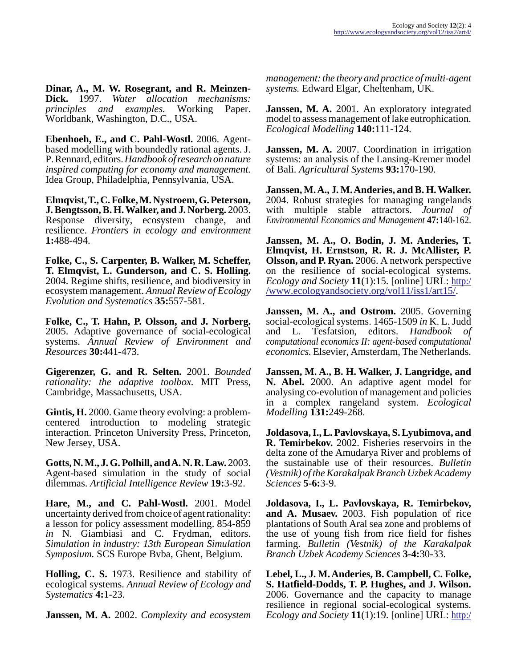**Dinar, A., M. W. Rosegrant, and R. Meinzen-Dick.** 1997. *Water allocation mechanisms: principles and examples.* Working Paper. Worldbank, Washington, D.C., USA.

**Ebenhoeh, E., and C. Pahl-Wostl.** 2006. Agentbased modelling with boundedly rational agents. J. P. Rennard, editors. *Handbook of research on nature inspired computing for economy and management.* Idea Group, Philadelphia, Pennsylvania, USA.

**Elmqvist, T., C. Folke, M. Nystroem, G. Peterson, J. Bengtsson, B. H. Walker, and J. Norberg.** 2003. Response diversity, ecosystem change, and resilience. *Frontiers in ecology and environment* **1:**488-494.

**Folke, C., S. Carpenter, B. Walker, M. Scheffer, T. Elmqvist, L. Gunderson, and C. S. Holling.** 2004. Regime shifts, resilience, and biodiversity in ecosystem management. *Annual Review of Ecology Evolution and Systematics* **35:**557-581.

**Folke, C., T. Hahn, P. Olsson, and J. Norberg.** 2005. Adaptive governance of social-ecological systems. *Annual Review of Environment and Resources* **30:**441-473.

**Gigerenzer, G. and R. Selten.** 2001. *Bounded rationality: the adaptive toolbox.* MIT Press, Cambridge, Massachusetts, USA.

**Gintis, H.** 2000. Game theory evolving: a problemcentered introduction to modeling strategic interaction. Princeton University Press, Princeton, New Jersey, USA.

**Gotts, N. M., J. G. Polhill, and A. N. R. Law.** 2003. Agent-based simulation in the study of social dilemmas. *Artificial Intelligence Review* **19:**3-92.

**Hare, M., and C. Pahl-Wostl.** 2001. Model uncertainty derived from choice of agent rationality: a lesson for policy assessment modelling. 854-859 *in* N. Giambiasi and C. Frydman, editors. *Simulation in industry: 13th European Simulation Symposium.* SCS Europe Bvba, Ghent, Belgium.

**Holling, C. S.** 1973. Resilience and stability of ecological systems. *Annual Review of Ecology and Systematics* **4:**1-23.

**Janssen, M. A.** 2002. *Complexity and ecosystem*

*management: the theory and practice of multi-agent systems.* Edward Elgar, Cheltenham, UK.

**Janssen, M. A.** 2001. An exploratory integrated model to assess management of lake eutrophication. *Ecological Modelling* **140:**111-124.

Janssen, M. A. 2007. Coordination in irrigation systems: an analysis of the Lansing-Kremer model of Bali. *Agricultural Systems* **93:**170-190.

**Janssen, M. A., J. M. Anderies, and B. H. Walker.** 2004. Robust strategies for managing rangelands with multiple stable attractors. *Journal of Environmental Economics and Management* **47:**140-162.

**Janssen, M. A., O. Bodin, J. M. Anderies, T. Elmqvist, H. Ernstson, R. R. J. McAllister, P. Olsson, and P. Ryan.** 2006. A network perspective on the resilience of social-ecological systems. *Ecology and Society* **11**(1):15. [online] URL: [http:/](http://www.ecologyandsociety.org/vol11/iss1/art15/) [/www.ecologyandsociety.org/vol11/iss1/art15/.](http://www.ecologyandsociety.org/vol11/iss1/art15/)

**Janssen, M. A., and Ostrom.** 2005. Governing social-ecological systems. 1465-1509 *in* K. L. Judd and L. Tesfatsion, editors. *Handbook of computational economics II: agent-based computational economics.* Elsevier, Amsterdam, The Netherlands.

**Janssen, M. A., B. H. Walker, J. Langridge, and N. Abel.** 2000. An adaptive agent model for analysing co-evolution of management and policies in a complex rangeland system. *Ecological Modelling* **131:**249-268.

**Joldasova, I., L. Pavlovskaya, S. Lyubimova, and R. Temirbekov.** 2002. Fisheries reservoirs in the delta zone of the Amudarya River and problems of the sustainable use of their resources. *Bulletin (Vestnik) of the Karakalpak Branch Uzbek Academy Sciences* **5-6:**3-9.

**Joldasova, I., L. Pavlovskaya, R. Temirbekov, and A. Musaev.** 2003. Fish population of rice plantations of South Aral sea zone and problems of the use of young fish from rice field for fishes farming. *Bulletin (Vestnik) of the Karakalpak Branch Uzbek Academy Sciences* **3-4:**30-33.

**Lebel, L., J. M. Anderies, B. Campbell, C. Folke, S. Hatfield-Dodds, T. P. Hughes, and J. Wilson.** 2006. Governance and the capacity to manage resilience in regional social-ecological systems. *Ecology and Society* **11**(1):19. [online] URL: http:/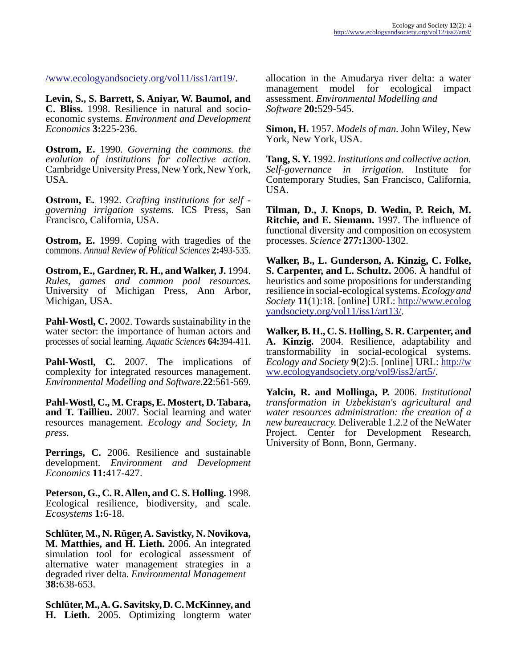[/www.ecologyandsociety.org/vol11/iss1/art19/.](http://www.ecologyandsociety.org/vol11/iss1/art19/)

**Levin, S., S. Barrett, S. Aniyar, W. Baumol, and C. Bliss.** 1998. Resilience in natural and socioeconomic systems. *Environment and Development Economics* **3:**225-236.

**Ostrom, E.** 1990. *Governing the commons. the evolution of institutions for collective action.* Cambridge University Press, New York, New York, USA.

**Ostrom, E.** 1992. *Crafting institutions for self governing irrigation systems.* ICS Press, San Francisco, California, USA.

**Ostrom, E.** 1999. Coping with tragedies of the commons. *Annual Review of Political Sciences* **2:**493-535.

**Ostrom, E., Gardner, R. H., and Walker, J.** 1994. *Rules, games and common pool resources.* University of Michigan Press, Ann Arbor, Michigan, USA.

Pahl-Wostl, C. 2002. Towards sustainability in the water sector: the importance of human actors and processes of social learning. *Aquatic Sciences* **64:**394-411.

**Pahl-Wostl, C.** 2007. The implications of complexity for integrated resources management. *Environmental Modelling and Software.***22**:561-569.

**Pahl-Wostl, C., M. Craps, E. Mostert, D. Tabara, and T. Taillieu.** 2007. Social learning and water resources management. *Ecology and Society, In press.*

**Perrings, C.** 2006. Resilience and sustainable development. *Environment and Development Economics* **11:**417-427.

**Peterson, G., C. R. Allen, and C. S. Holling.** 1998. Ecological resilience, biodiversity, and scale. *Ecosystems* **1:**6-18.

**Schlüter, M., N. Rüger, A. Savistky, N. Novikova, M. Matthies, and H. Lieth.** 2006. An integrated simulation tool for ecological assessment of alternative water management strategies in a degraded river delta. *Environmental Management*  **38:**638-653.

**Schlüter, M., A. G. Savitsky, D. C. McKinney, an[d](http://www.ecologyandsociety.org/vol11/iss1/art19/) H. Lieth.** 2005. Optimizing longterm water allocation in the Amudarya river delta: a water management model for ecological impact assessment. *Environmental Modelling and Software* **20:**529-545.

**Simon, H.** 1957. *Models of man.* John Wiley, New York, New York, USA.

**Tang, S. Y.** 1992. *Institutions and collective action. Self-governance in irrigation.* Institute for Contemporary Studies, San Francisco, California, USA.

**Tilman, D., J. Knops, D. Wedin, P. Reich, M. Ritchie, and E. Siemann.** 1997. The influence of functional diversity and composition on ecosystem processes. *Science* **277:**1300-1302.

**Walker, B., L. Gunderson, A. Kinzig, C. Folke, S. Carpenter, and L. Schultz.** 2006. A handful of heuristics and some propositions for understanding resilience in social-ecological systems. *Ecology and Society* **11**(1):18. [online] URL: [http://www.ecolog](http://www.ecologyandsociety.org/vol11/iss1/art18/) [yandsociety.org/vol11/iss1/art13/](http://www.ecologyandsociety.org/vol11/iss1/art18/).

**Walker, B. H., C. S. Holling, S. R. Carpenter, and A. Kinzig.** 2004. Resilience, adaptability and transformability in social-ecological systems. *Ecology and Society* **9**(2):5. [online] URL: [http://w](http://www.ecologyandsociety.org/vol9/iss2/art5/) [ww.ecologyandsociety.org/vol9/iss2/art5/.](http://www.ecologyandsociety.org/vol9/iss2/art5/)

**Yalcin, R. and Mollinga, P.** 2006. *Institutional transformation in Uzbekistan's agricultural and water resources administration: the creation of a new bureaucracy.* Deliverable 1.2.2 of the NeWater Project. Center for Development Research, University of Bonn, Bonn, Germany.